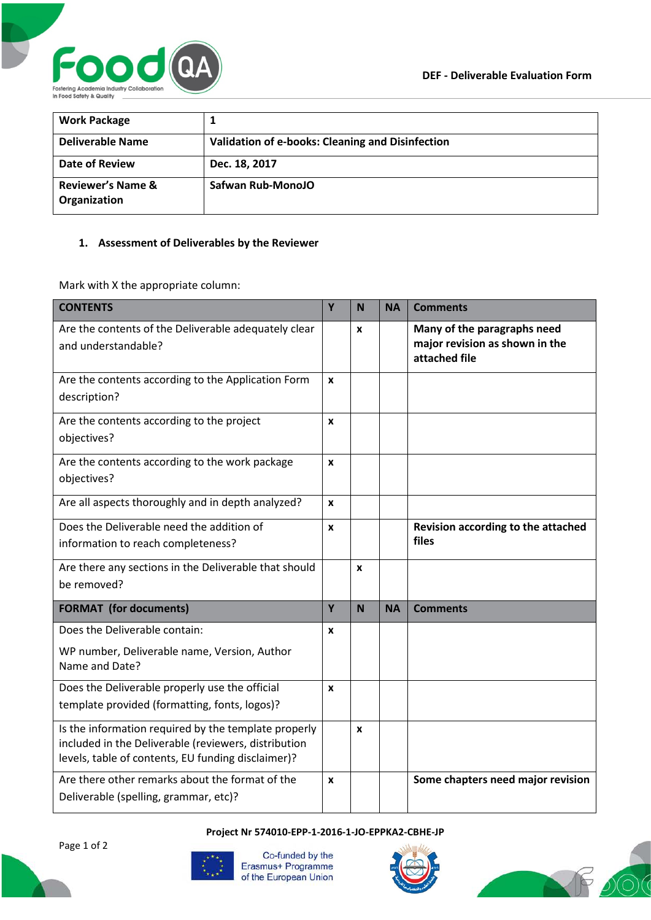

| <b>Work Package</b>                          |                                                         |
|----------------------------------------------|---------------------------------------------------------|
| Deliverable Name                             | <b>Validation of e-books: Cleaning and Disinfection</b> |
| Date of Review                               | Dec. 18, 2017                                           |
| <b>Reviewer's Name &amp;</b><br>Organization | Safwan Rub-MonoJO                                       |

## **1. Assessment of Deliverables by the Reviewer**

Mark with X the appropriate column:

| <b>CONTENTS</b>                                                                                                                                                    | Y | N | <b>NA</b> | <b>Comments</b>                                                                |
|--------------------------------------------------------------------------------------------------------------------------------------------------------------------|---|---|-----------|--------------------------------------------------------------------------------|
| Are the contents of the Deliverable adequately clear<br>and understandable?                                                                                        |   | X |           | Many of the paragraphs need<br>major revision as shown in the<br>attached file |
| Are the contents according to the Application Form<br>description?                                                                                                 |   |   |           |                                                                                |
| Are the contents according to the project<br>objectives?                                                                                                           |   |   |           |                                                                                |
| Are the contents according to the work package<br>objectives?                                                                                                      |   |   |           |                                                                                |
| Are all aspects thoroughly and in depth analyzed?                                                                                                                  |   |   |           |                                                                                |
| Does the Deliverable need the addition of<br>information to reach completeness?                                                                                    |   |   |           | Revision according to the attached<br>files                                    |
| Are there any sections in the Deliverable that should<br>be removed?                                                                                               |   | X |           |                                                                                |
| <b>FORMAT</b> (for documents)                                                                                                                                      | Y | N | <b>NA</b> | <b>Comments</b>                                                                |
| Does the Deliverable contain:                                                                                                                                      | X |   |           |                                                                                |
| WP number, Deliverable name, Version, Author<br>Name and Date?                                                                                                     |   |   |           |                                                                                |
| Does the Deliverable properly use the official<br>template provided (formatting, fonts, logos)?                                                                    | X |   |           |                                                                                |
| Is the information required by the template properly<br>included in the Deliverable (reviewers, distribution<br>levels, table of contents, EU funding disclaimer)? |   | X |           |                                                                                |
| Are there other remarks about the format of the<br>Deliverable (spelling, grammar, etc)?                                                                           |   |   |           | Some chapters need major revision                                              |

**Project Nr 574010-EPP-1-2016-1-JO-EPPKA2-CBHE-JP**